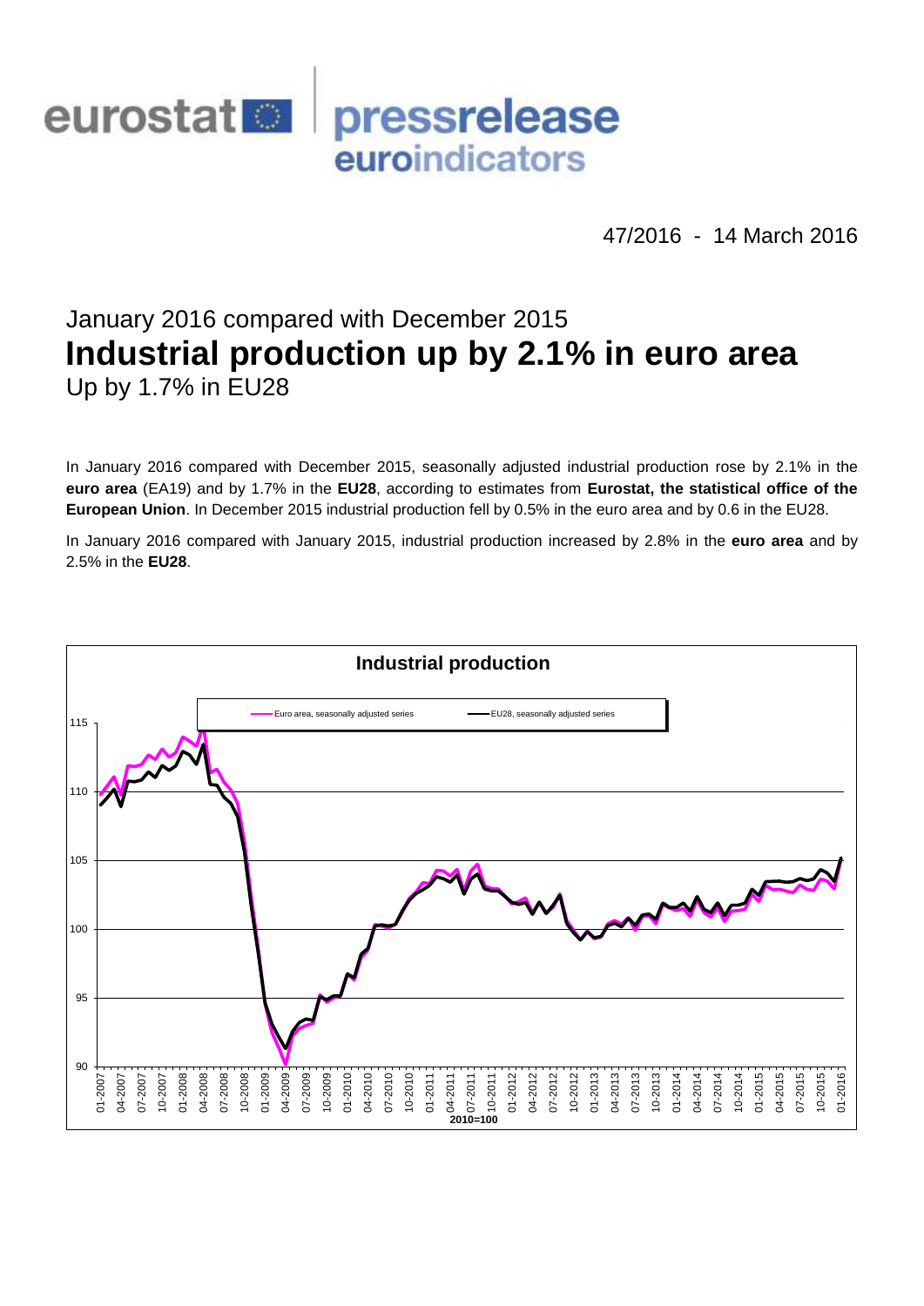

47/2016 - 14 March 2016

# January 2016 compared with December 2015 **Industrial production up by 2.1% in euro area** Up by 1.7% in EU28

In January 2016 compared with December 2015, seasonally adjusted industrial production rose by 2.1% in the **euro area** (EA19) and by 1.7% in the **EU28**, according to estimates from **Eurostat, the statistical office of the European Union**. In December 2015 industrial production fell by 0.5% in the euro area and by 0.6 in the EU28.

In January 2016 compared with January 2015, industrial production increased by 2.8% in the **euro area** and by 2.5% in the **EU28**.

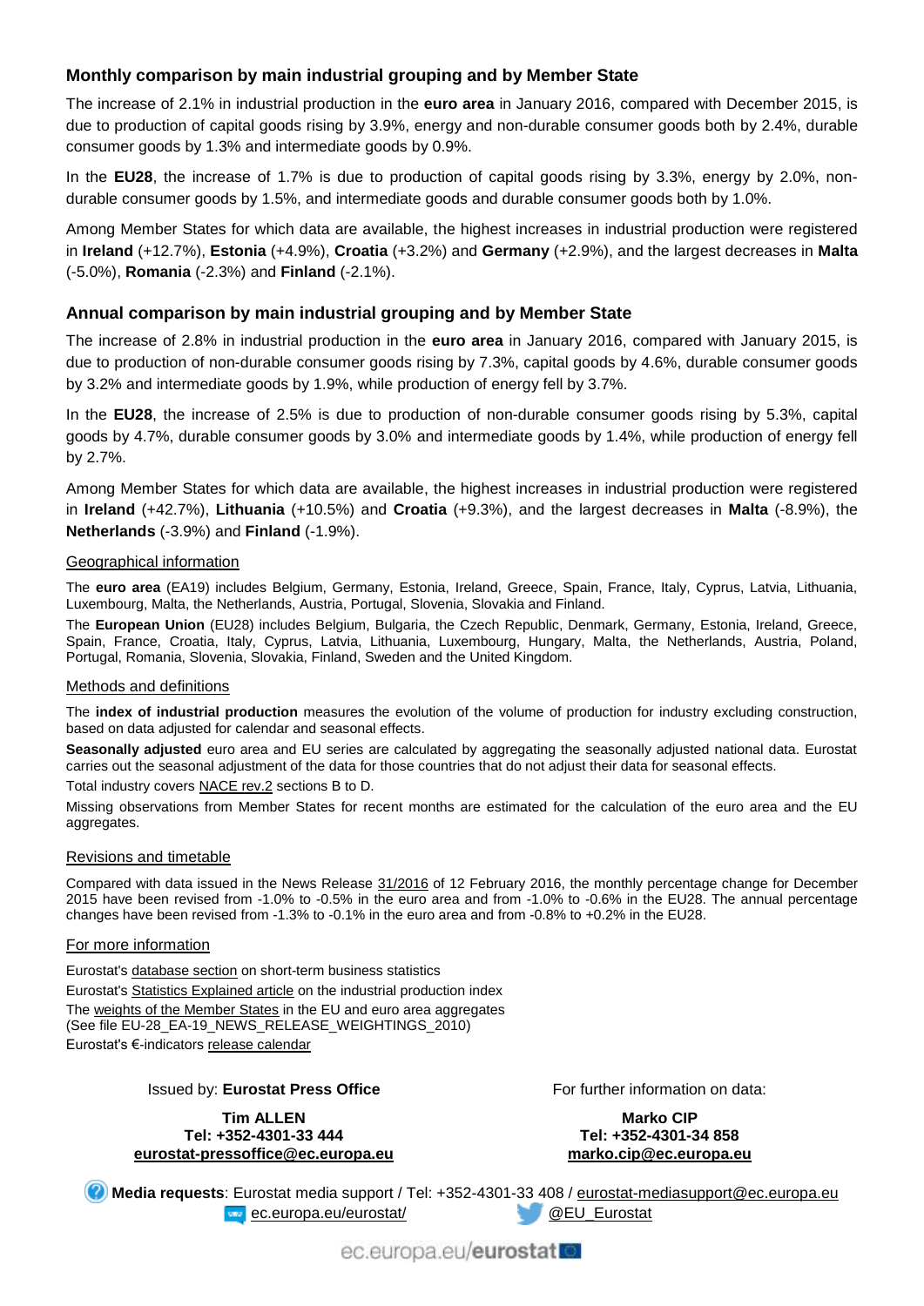## **Monthly comparison by main industrial grouping and by Member State**

The increase of 2.1% in industrial production in the **euro area** in January 2016, compared with December 2015, is due to production of capital goods rising by 3.9%, energy and non-durable consumer goods both by 2.4%, durable consumer goods by 1.3% and intermediate goods by 0.9%.

In the **EU28**, the increase of 1.7% is due to production of capital goods rising by 3.3%, energy by 2.0%, nondurable consumer goods by 1.5%, and intermediate goods and durable consumer goods both by 1.0%.

Among Member States for which data are available, the highest increases in industrial production were registered in **Ireland** (+12.7%), **Estonia** (+4.9%), **Croatia** (+3.2%) and **Germany** (+2.9%), and the largest decreases in **Malta** (-5.0%), **Romania** (-2.3%) and **Finland** (-2.1%).

## **Annual comparison by main industrial grouping and by Member State**

The increase of 2.8% in industrial production in the **euro area** in January 2016, compared with January 2015, is due to production of non-durable consumer goods rising by 7.3%, capital goods by 4.6%, durable consumer goods by 3.2% and intermediate goods by 1.9%, while production of energy fell by 3.7%.

In the **EU28**, the increase of 2.5% is due to production of non-durable consumer goods rising by 5.3%, capital goods by 4.7%, durable consumer goods by 3.0% and intermediate goods by 1.4%, while production of energy fell by 2.7%.

Among Member States for which data are available, the highest increases in industrial production were registered in **Ireland** (+42.7%), **Lithuania** (+10.5%) and **Croatia** (+9.3%), and the largest decreases in **Malta** (-8.9%), the **Netherlands** (-3.9%) and **Finland** (-1.9%).

#### Geographical information

The **euro area** (EA19) includes Belgium, Germany, Estonia, Ireland, Greece, Spain, France, Italy, Cyprus, Latvia, Lithuania, Luxembourg, Malta, the Netherlands, Austria, Portugal, Slovenia, Slovakia and Finland.

The **European Union** (EU28) includes Belgium, Bulgaria, the Czech Republic, Denmark, Germany, Estonia, Ireland, Greece, Spain, France, Croatia, Italy, Cyprus, Latvia, Lithuania, Luxembourg, Hungary, Malta, the Netherlands, Austria, Poland, Portugal, Romania, Slovenia, Slovakia, Finland, Sweden and the United Kingdom.

#### Methods and definitions

The **index of industrial production** measures the evolution of the volume of production for industry excluding construction, based on data adjusted for calendar and seasonal effects.

Seasonally adjusted euro area and EU series are calculated by aggregating the seasonally adjusted national data. Eurostat carries out the seasonal adjustment of the data for those countries that do not adjust their data for seasonal effects.

Total industry covers [NACE rev.2](http://ec.europa.eu/eurostat/ramon/nomenclatures/index.cfm?TargetUrl=LST_NOM_DTL&StrNom=NACE_REV2&StrLanguageCode=EN&IntPcKey=&StrLayoutCode=HIERARCHIC) sections B to D.

Missing observations from Member States for recent months are estimated for the calculation of the euro area and the EU aggregates.

#### Revisions and timetable

Compared with data issued in the News Release [31/2016](http://ec.europa.eu/eurostat/documents/2995521/7156164/4-12022016-AP-EN.pdf/3e692394-f846-41a1-ae1a-be73f2d146e1) of 12 February 2016, the monthly percentage change for December 2015 have been revised from -1.0% to -0.5% in the euro area and from -1.0% to -0.6% in the EU28. The annual percentage changes have been revised from -1.3% to -0.1% in the euro area and from -0.8% to +0.2% in the EU28.

#### For more information

Eurostat's [database section](http://ec.europa.eu/eurostat/web/short-term-business-statistics/data/database) on short-term business statistics Eurostat's [Statistics Explained article](http://ec.europa.eu/eurostat/statistics-explained/index.php/Industrial_production_(volume)_index_overview) on the industrial production index Th[e weights of the Member States](https://circabc.europa.eu/w/browse/5e6d1e48-056c-4c6a-8278-3ab138bcf575) in the EU and euro area aggregates (See file EU-28\_EA-19\_NEWS\_RELEASE\_WEIGHTINGS\_2010) Eurostat's €-indicators [release calendar](http://ec.europa.eu/eurostat/news/release-calendar)

#### Issued by: **Eurostat Press Office**

**Tim ALLEN Tel: +352-4301-33 444 [eurostat-pressoffice@ec.europa.eu](mailto:eurostat-pressoffice@ec.europa.eu)** For further information on data:

**Marko CIP Tel: +352-4301-34 858 [marko.cip@ec.europa.eu](mailto:marko.cip@ec.europa.eu)**

**Media requests**: Eurostat media support / Tel: +352-4301-33 408 / [eurostat-mediasupport@ec.europa.eu](mailto:eurostat-mediasupport@ec.europa.eu) [ec.europa.eu/eurostat/](http://ec.europa.eu/eurostat/) and a control and a control of the eurostat

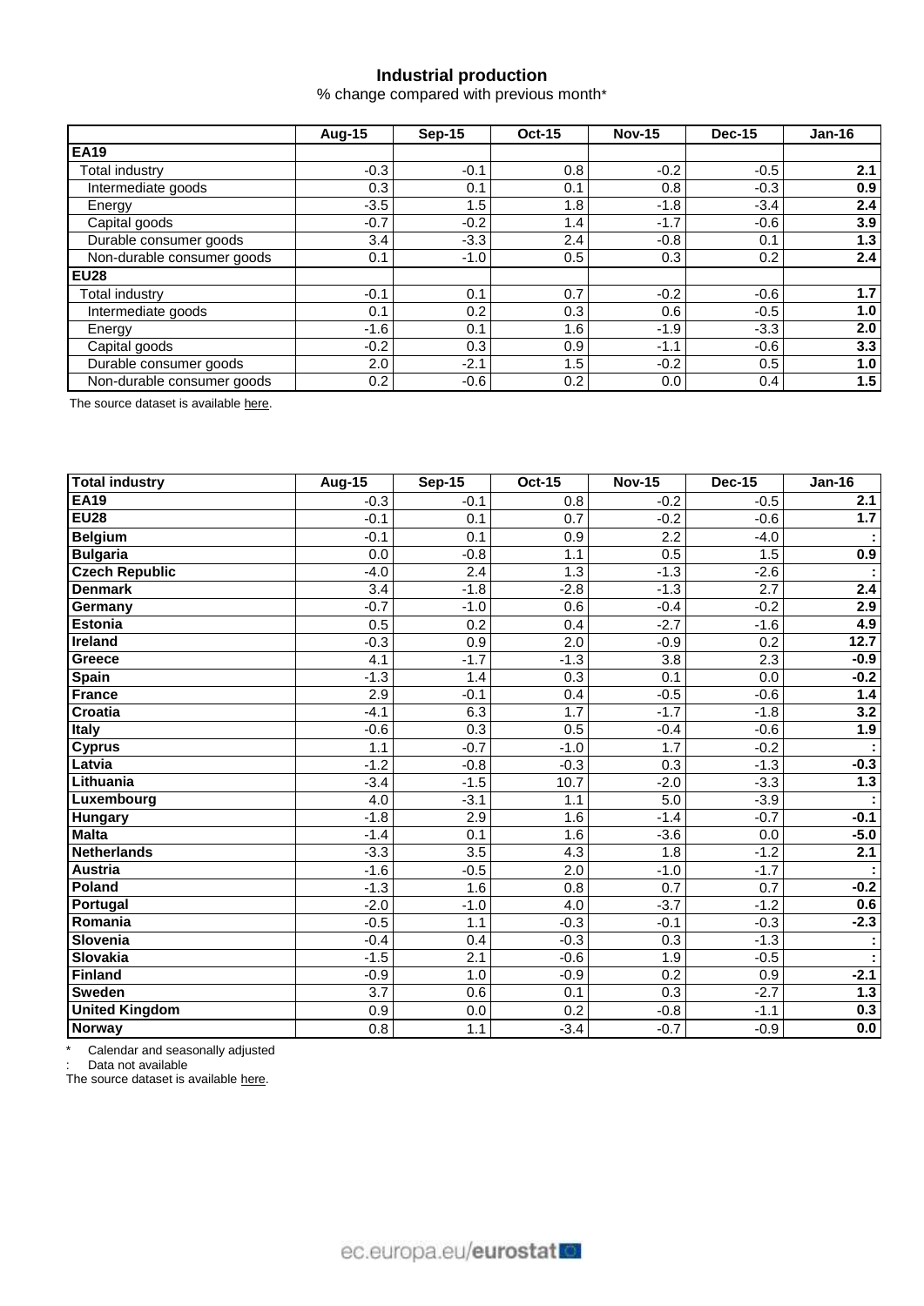## **Industrial production**

% change compared with previous month\*

|                            | Aug-15 | $Sep-15$ | <b>Oct-15</b> | <b>Nov-15</b> | <b>Dec-15</b> | $Jan-16$ |  |
|----------------------------|--------|----------|---------------|---------------|---------------|----------|--|
| <b>EA19</b>                |        |          |               |               |               |          |  |
| Total industry             | $-0.3$ | $-0.1$   | 0.8           | $-0.2$        | $-0.5$        | 2.1      |  |
| Intermediate goods         | 0.3    | 0.1      | 0.1           | 0.8           | $-0.3$        | 0.9      |  |
| Energy                     | $-3.5$ | 1.5      | 1.8           | $-1.8$        | $-3.4$        | 2.4      |  |
| Capital goods              | $-0.7$ | $-0.2$   | 1.4           | $-1.7$        | $-0.6$        | 3.9      |  |
| Durable consumer goods     | 3.4    | $-3.3$   | 2.4           | $-0.8$        | 0.1           | 1.3      |  |
| Non-durable consumer goods | 0.1    | $-1.0$   | 0.5           | 0.3           | 0.2           | 2.4      |  |
| <b>EU28</b>                |        |          |               |               |               |          |  |
| Total industry             | $-0.1$ | 0.1      | 0.7           | $-0.2$        | $-0.6$        | 1.7      |  |
| Intermediate goods         | 0.1    | 0.2      | 0.3           | 0.6           | $-0.5$        | 1.0      |  |
| Energy                     | $-1.6$ | 0.1      | 1.6           | $-1.9$        | $-3.3$        | 2.0      |  |
| Capital goods              | $-0.2$ | 0.3      | 0.9           | $-1.1$        | $-0.6$        | 3.3      |  |
| Durable consumer goods     | 2.0    | $-2.1$   | 1.5           | $-0.2$        | 0.5           | 1.0      |  |
| Non-durable consumer goods | 0.2    | $-0.6$   | 0.2           | 0.0           | 0.4           | 1.5      |  |

The source dataset is availabl[e here.](http://appsso.eurostat.ec.europa.eu/nui/show.do?query=BOOKMARK_DS-069601_QID_-3D4B1659_UID_-3F171EB0&layout=TIME,C,X,0;GEO,L,Y,0;NACE_R2,L,Y,1;INDIC_BT,L,Z,0;S_ADJ,L,Z,1;UNIT,L,Z,2;INDICATORS,C,Z,3;&zSelection=DS-069601INDIC_BT,PROD;DS-069601UNIT,PCH_PRE;DS-069601INDICATORS,OBS_FLAG;DS-069601S_ADJ,SWDA;&rankName1=UNIT_1_2_-1_2&rankName2=INDIC-BT_1_2_-1_2&rankName3=INDICATORS_1_2_-1_2&rankName4=S-ADJ_1_2_-1_2&rankName5=TIME_1_0_0_0&rankName6=GEO_1_0_0_1&rankName7=NACE-R2_1_0_1_1&sortR=ASC_-1_FIRST&sortC=ASC_-1_FIRST&rStp=&cStp=&rDCh=&cDCh=&rDM=true&cDM=true&footnes=false&empty=false&wai=false&time_mode=ROLLING&time_most_recent=true&lang=EN&cfo=%23%23%23%2C%23%23%23.%23%23%23)

| <b>Total industry</b> | <b>Aug-15</b>    | <b>Sep-15</b>    | <b>Oct-15</b>    | <b>Nov-15</b>    | <b>Dec-15</b> | <b>Jan-16</b> |
|-----------------------|------------------|------------------|------------------|------------------|---------------|---------------|
| <b>EA19</b>           | $-0.3$           | $-0.1$           | 0.8              | $-0.2$           | $-0.5$        | 2.1           |
| <b>EU28</b>           | $-0.1$           | 0.1              | 0.7              | $-0.2$           | $-0.6$        | 1.7           |
| <b>Belgium</b>        | $-0.1$           | $\overline{0.1}$ | 0.9              | $\overline{2.2}$ | $-4.0$        | ÷             |
| <b>Bulgaria</b>       | 0.0              | $-0.8$           | 1.1              | 0.5              | 1.5           | 0.9           |
| <b>Czech Republic</b> | $-4.0$           | $\overline{2.4}$ | 1.3              | $-1.3$           | $-2.6$        |               |
| <b>Denmark</b>        | $\overline{3.4}$ | $-1.8$           | $-2.8$           | $-1.3$           | 2.7           | 2.4           |
| Germany               | $-0.7$           | $-1.0$           | 0.6              | $-0.4$           | $-0.2$        | 2.9           |
| <b>Estonia</b>        | 0.5              | $\overline{0.2}$ | 0.4              | $-2.7$           | $-1.6$        | 4.9           |
| <b>Ireland</b>        | $-0.3$           | 0.9              | 2.0              | $-0.9$           | 0.2           | 12.7          |
| Greece                | 4.1              | $-1.7$           | $-1.3$           | 3.8              | 2.3           | $-0.9$        |
| <b>Spain</b>          | $-1.3$           | 1.4              | 0.3              | 0.1              | 0.0           | $-0.2$        |
| <b>France</b>         | 2.9              | $-0.1$           | 0.4              | $-0.5$           | $-0.6$        | 1.4           |
| Croatia               | $-4.1$           | 6.3              | 1.7              | $-1.7$           | $-1.8$        | 3.2           |
| <b>Italy</b>          | $-0.6$           | 0.3              | 0.5              | $-0.4$           | $-0.6$        | 1.9           |
| <b>Cyprus</b>         | 1.1              | $-0.7$           | $-1.0$           | 1.7              | $-0.2$        |               |
| Latvia                | $-1.2$           | $-0.8$           | $-0.3$           | 0.3              | $-1.3$        | $-0.3$        |
| Lithuania             | $-3.4$           | $-1.5$           | 10.7             | $-2.0$           | $-3.3$        | 1.3           |
| Luxembourg            | 4.0              | $-3.1$           | 1.1              | 5.0              | $-3.9$        |               |
| <b>Hungary</b>        | $-1.8$           | 2.9              | 1.6              | $-1.4$           | $-0.7$        | $-0.1$        |
| <b>Malta</b>          | $-1.4$           | 0.1              | 1.6              | $-3.6$           | 0.0           | $-5.0$        |
| <b>Netherlands</b>    | $-3.3$           | 3.5              | 4.3              | 1.8              | $-1.2$        | 2.1           |
| <b>Austria</b>        | $-1.6$           | $-0.5$           | $\overline{2.0}$ | $-1.0$           | $-1.7$        |               |
| Poland                | $-1.3$           | 1.6              | 0.8              | 0.7              | 0.7           | $-0.2$        |
| Portugal              | $-2.0$           | $-1.0$           | 4.0              | $-3.7$           | $-1.2$        | 0.6           |
| Romania               | $-0.5$           | 1.1              | $-0.3$           | $-0.1$           | $-0.3$        | $-2.3$        |
| Slovenia              | $-0.4$           | 0.4              | $-0.3$           | 0.3              | $-1.3$        | ÷             |
| <b>Slovakia</b>       | $-1.5$           | 2.1              | $-0.6$           | 1.9              | $-0.5$        | ÷             |
| <b>Finland</b>        | $-0.9$           | 1.0              | $-0.9$           | $\overline{0.2}$ | 0.9           | $-2.1$        |
| <b>Sweden</b>         | 3.7              | 0.6              | 0.1              | 0.3              | $-2.7$        | 1.3           |
| <b>United Kingdom</b> | 0.9              | 0.0              | $\overline{0.2}$ | $-0.8$           | $-1.1$        | 0.3           |
| Norway                | 0.8              | 1.1              | $-3.4$           | $-0.7$           | $-0.9$        | 0.0           |

\* Calendar and seasonally adjusted

: Data not available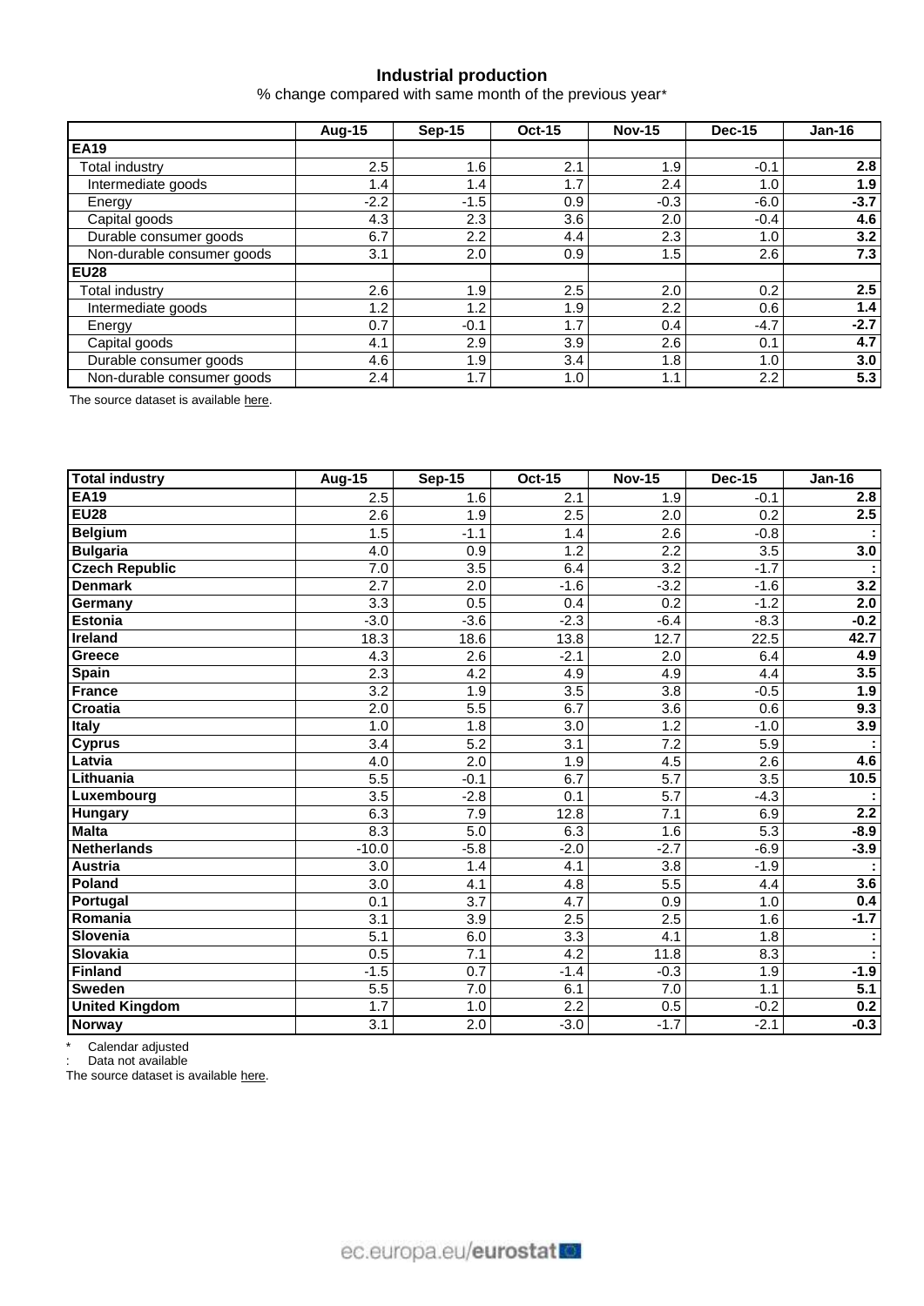## **Industrial production**

% change compared with same month of the previous year\*

|                            | Aug-15  | <b>Sep-15</b>    | <b>Oct-15</b>    | <b>Nov-15</b> | <b>Dec-15</b> | $Jan-16$ |  |
|----------------------------|---------|------------------|------------------|---------------|---------------|----------|--|
| <b>EA19</b>                |         |                  |                  |               |               |          |  |
| <b>Total industry</b>      | $2.5\,$ | 1.6              | 2.1              | 1.9           | $-0.1$        | 2.8      |  |
| Intermediate goods         | 1.4     | 1.4 <sub>1</sub> | 1.7              | 2.4           | 1.0           | 1.9      |  |
| Energy                     | $-2.2$  | $-1.5$           | 0.9              | $-0.3$        | $-6.0$        | $-3.7$   |  |
| Capital goods              | 4.3     | 2.3              | 3.6              | 2.0           | $-0.4$        | 4.6      |  |
| Durable consumer goods     | 6.7     | 2.2              | 4.4              | 2.3           | 1.0           | 3.2      |  |
| Non-durable consumer goods | 3.1     | 2.0              | 0.9              | 1.5           | $2.6\,$       | 7.3      |  |
| <b>EU28</b>                |         |                  |                  |               |               |          |  |
| <b>Total industry</b>      | 2.6     | 1.9              | 2.5              | 2.0           | 0.2           | 2.5      |  |
| Intermediate goods         | 1.2     | 1.2              | 1.9              | 2.2           | 0.6           | 1.4      |  |
| Energy                     | 0.7     | $-0.1$           | 1.7              | 0.4           | $-4.7$        | $-2.7$   |  |
| Capital goods              | 4.1     | 2.9              | 3.9 <sup>°</sup> | 2.6           | 0.1           | 4.7      |  |
| Durable consumer goods     | 4.6     | 1.9              | 3.4              | 1.8           | 1.0           | 3.0      |  |
| Non-durable consumer goods | 2.4     | 1.7              | 1.0 <sub>1</sub> | 1.1           | 2.2           | 5.3      |  |

The source dataset is availabl[e here.](http://appsso.eurostat.ec.europa.eu/nui/show.do?query=BOOKMARK_DS-069601_QID_1E707F69_UID_-3F171EB0&layout=TIME,C,X,0;GEO,L,Y,0;NACE_R2,L,Y,1;INDIC_BT,L,Z,0;S_ADJ,L,Z,1;UNIT,L,Z,2;INDICATORS,C,Z,3;&zSelection=DS-069601INDIC_BT,PROD;DS-069601UNIT,PCH_SM;DS-069601INDICATORS,OBS_FLAG;DS-069601S_ADJ,WDA;&rankName1=UNIT_1_2_-1_2&rankName2=INDIC-BT_1_2_-1_2&rankName3=INDICATORS_1_2_-1_2&rankName4=S-ADJ_1_2_-1_2&rankName5=TIME_1_0_0_0&rankName6=GEO_1_0_0_1&rankName7=NACE-R2_1_0_1_1&sortR=ASC_-1_FIRST&sortC=ASC_-1_FIRST&rStp=&cStp=&rDCh=&cDCh=&rDM=true&cDM=true&footnes=false&empty=false&wai=false&time_mode=ROLLING&time_most_recent=true&lang=EN&cfo=%23%23%23%2C%23%23%23.%23%23%23)

| <b>Total industry</b> | Aug- $15$        | <b>Sep-15</b>    | <b>Oct-15</b>    | <b>Nov-15</b>    | <b>Dec-15</b>    | <b>Jan-16</b> |
|-----------------------|------------------|------------------|------------------|------------------|------------------|---------------|
| <b>EA19</b>           | 2.5              | 1.6              | 2.1              | 1.9              | $-0.1$           | 2.8           |
| <b>EU28</b>           | 2.6              | 1.9              | $\overline{2.5}$ | $\overline{2.0}$ | 0.2              | 2.5           |
| <b>Belgium</b>        | 1.5              | $-1.1$           | 1.4              | 2.6              | $-0.8$           |               |
| <b>Bulgaria</b>       | 4.0              | 0.9              | 1.2              | 2.2              | $\overline{3.5}$ | 3.0           |
| <b>Czech Republic</b> | $\overline{7.0}$ | $\overline{3.5}$ | 6.4              | $\overline{3.2}$ | $-1.7$           |               |
| <b>Denmark</b>        | $\overline{2.7}$ | $\overline{2.0}$ | $-1.6$           | $-3.2$           | $-1.6$           | 3.2           |
| Germany               | 3.3              | 0.5              | 0.4              | $\overline{0.2}$ | $-1.2$           | 2.0           |
| <b>Estonia</b>        | $-3.0$           | $-3.6$           | $-2.3$           | $-6.4$           | $-8.3$           | $-0.2$        |
| <b>Ireland</b>        | 18.3             | 18.6             | 13.8             | 12.7             | 22.5             | 42.7          |
| Greece                | $\overline{4.3}$ | $\overline{2.6}$ | $-2.1$           | $\overline{2.0}$ | 6.4              | 4.9           |
| <b>Spain</b>          | 2.3              | 4.2              | 4.9              | 4.9              | 4.4              | 3.5           |
| <b>France</b>         | $\overline{3.2}$ | 1.9              | $\overline{3.5}$ | 3.8              | $-0.5$           | 1.9           |
| <b>Croatia</b>        | $\overline{2.0}$ | 5.5              | 6.7              | 3.6              | 0.6              | 9.3           |
| Italy                 | 1.0              | 1.8              | $\overline{3.0}$ | 1.2              | $-1.0$           | 3.9           |
| <b>Cyprus</b>         | 3.4              | 5.2              | 3.1              | 7.2              | 5.9              |               |
| Latvia                | 4.0              | $\overline{2.0}$ | 1.9              | 4.5              | $\overline{2.6}$ | 4.6           |
| Lithuania             | $\overline{5.5}$ | $-0.1$           | 6.7              | $\overline{5.7}$ | $\overline{3.5}$ | 10.5          |
| Luxembourg            | $\overline{3.5}$ | $-2.8$           | $\overline{0.1}$ | 5.7              | $-4.3$           |               |
| <b>Hungary</b>        | 6.3              | 7.9              | 12.8             | $\overline{7.1}$ | 6.9              | 2.2           |
| <b>Malta</b>          | 8.3              | $\overline{5.0}$ | 6.3              | 1.6              | $\overline{5.3}$ | $-8.9$        |
| <b>Netherlands</b>    | $-10.0$          | $-5.8$           | $-2.0$           | $-2.7$           | $-6.9$           | $-3.9$        |
| <b>Austria</b>        | 3.0              | 1.4              | 4.1              | 3.8              | $-1.9$           |               |
| Poland                | $\overline{3.0}$ | 4.1              | 4.8              | 5.5              | 4.4              | 3.6           |
| Portugal              | 0.1              | $\overline{3.7}$ | 4.7              | 0.9              | 1.0              | 0.4           |
| Romania               | $\overline{3.1}$ | $\overline{3.9}$ | $\overline{2.5}$ | 2.5              | 1.6              | $-1.7$        |
| Slovenia              | $\overline{5.1}$ | 6.0              | $\overline{3.3}$ | $\overline{4.1}$ | 1.8              | ÷             |
| <b>Slovakia</b>       | 0.5              | $\overline{7.1}$ | 4.2              | 11.8             | 8.3              | ÷             |
| <b>Finland</b>        | $-1.5$           | 0.7              | $-1.4$           | $-0.3$           | 1.9              | $-1.9$        |
| <b>Sweden</b>         | 5.5              | 7.0              | 6.1              | 7.0              | 1.1              | 5.1           |
| <b>United Kingdom</b> | 1.7              | 1.0              | $\overline{2.2}$ | 0.5              | $-0.2$           | 0.2           |
| <b>Norway</b>         | 3.1              | $\overline{2.0}$ | $-3.0$           | $-1.7$           | $-2.1$           | $-0.3$        |

\* Calendar adjusted

: Data not available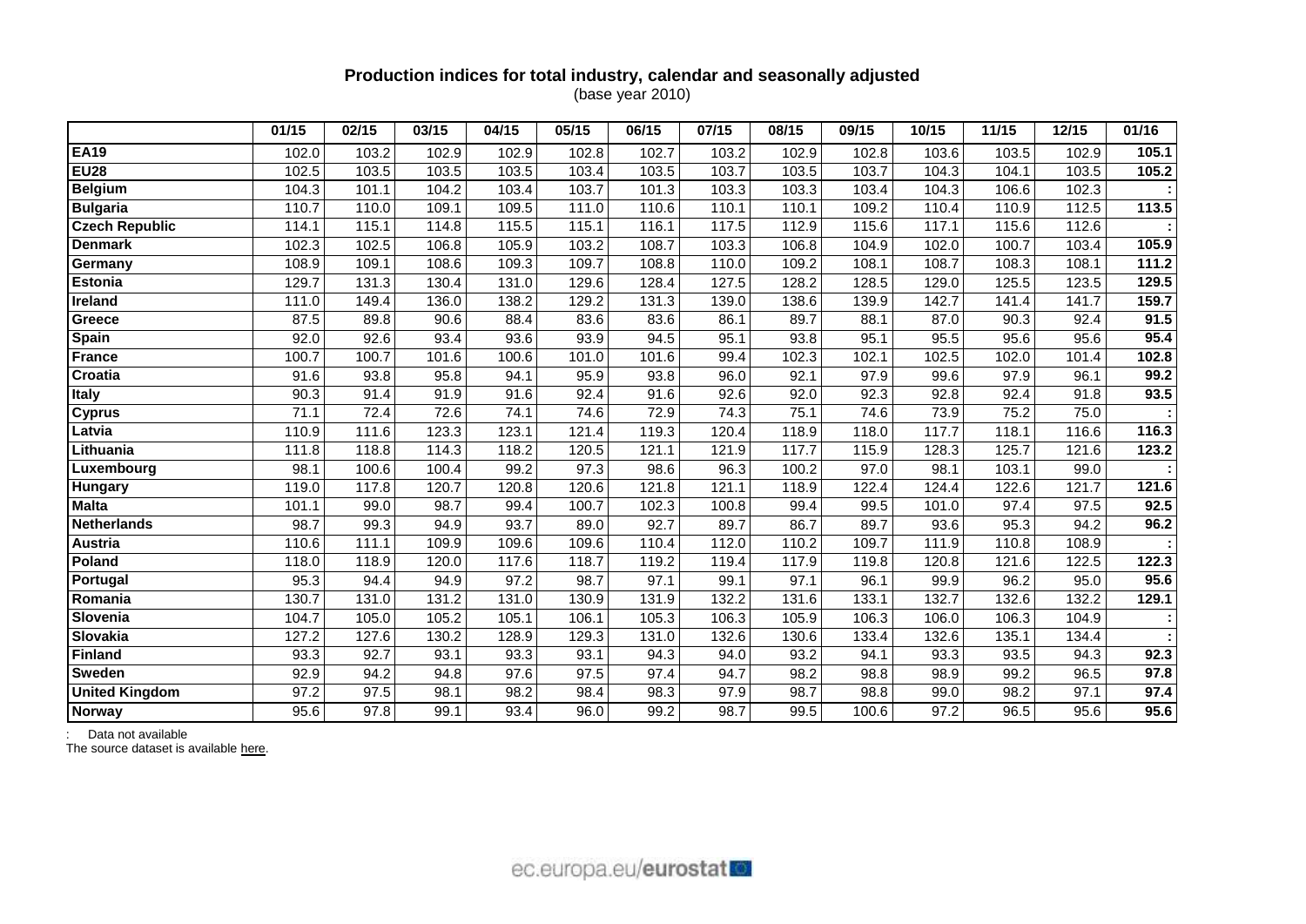## **Production indices for total industry, calendar and seasonally adjusted** (base year 2010)

|                       | 01/15 | 02/15 | 03/15 | 04/15 | 05/15 | 06/15              | 07/15 | 08/15 | 09/15 | 10/15 | 11/15 | 12/15 | 01/16 |
|-----------------------|-------|-------|-------|-------|-------|--------------------|-------|-------|-------|-------|-------|-------|-------|
| <b>EA19</b>           | 102.0 | 103.2 | 102.9 | 102.9 | 102.8 | 102.7              | 103.2 | 102.9 | 102.8 | 103.6 | 103.5 | 102.9 | 105.1 |
| <b>EU28</b>           | 102.5 | 103.5 | 103.5 | 103.5 | 103.4 | $\overline{103.5}$ | 103.7 | 103.5 | 103.7 | 104.3 | 104.1 | 103.5 | 105.2 |
| <b>Belgium</b>        | 104.3 | 101.1 | 104.2 | 103.4 | 103.7 | 101.3              | 103.3 | 103.3 | 103.4 | 104.3 | 106.6 | 102.3 |       |
| <b>Bulgaria</b>       | 110.7 | 110.0 | 109.1 | 109.5 | 111.0 | 110.6              | 110.1 | 110.1 | 109.2 | 110.4 | 110.9 | 112.5 | 113.5 |
| <b>Czech Republic</b> | 114.1 | 115.1 | 114.8 | 115.5 | 115.1 | 116.1              | 117.5 | 112.9 | 115.6 | 117.1 | 115.6 | 112.6 |       |
| <b>Denmark</b>        | 102.3 | 102.5 | 106.8 | 105.9 | 103.2 | 108.7              | 103.3 | 106.8 | 104.9 | 102.0 | 100.7 | 103.4 | 105.9 |
| Germany               | 108.9 | 109.1 | 108.6 | 109.3 | 109.7 | 108.8              | 110.0 | 109.2 | 108.1 | 108.7 | 108.3 | 108.1 | 111.2 |
| <b>Estonia</b>        | 129.7 | 131.3 | 130.4 | 131.0 | 129.6 | 128.4              | 127.5 | 128.2 | 128.5 | 129.0 | 125.5 | 123.5 | 129.5 |
| Ireland               | 111.0 | 149.4 | 136.0 | 138.2 | 129.2 | 131.3              | 139.0 | 138.6 | 139.9 | 142.7 | 141.4 | 141.7 | 159.7 |
| Greece                | 87.5  | 89.8  | 90.6  | 88.4  | 83.6  | 83.6               | 86.1  | 89.7  | 88.1  | 87.0  | 90.3  | 92.4  | 91.5  |
| <b>Spain</b>          | 92.0  | 92.6  | 93.4  | 93.6  | 93.9  | 94.5               | 95.1  | 93.8  | 95.1  | 95.5  | 95.6  | 95.6  | 95.4  |
| <b>France</b>         | 100.7 | 100.7 | 101.6 | 100.6 | 101.0 | 101.6              | 99.4  | 102.3 | 102.1 | 102.5 | 102.0 | 101.4 | 102.8 |
| Croatia               | 91.6  | 93.8  | 95.8  | 94.1  | 95.9  | 93.8               | 96.0  | 92.1  | 97.9  | 99.6  | 97.9  | 96.1  | 99.2  |
| <b>Italy</b>          | 90.3  | 91.4  | 91.9  | 91.6  | 92.4  | 91.6               | 92.6  | 92.0  | 92.3  | 92.8  | 92.4  | 91.8  | 93.5  |
| <b>Cyprus</b>         | 71.1  | 72.4  | 72.6  | 74.1  | 74.6  | 72.9               | 74.3  | 75.1  | 74.6  | 73.9  | 75.2  | 75.0  |       |
| Latvia                | 110.9 | 111.6 | 123.3 | 123.1 | 121.4 | 119.3              | 120.4 | 118.9 | 118.0 | 117.7 | 118.1 | 116.6 | 116.3 |
| Lithuania             | 111.8 | 118.8 | 114.3 | 118.2 | 120.5 | 121.1              | 121.9 | 117.7 | 115.9 | 128.3 | 125.7 | 121.6 | 123.2 |
| Luxembourg            | 98.1  | 100.6 | 100.4 | 99.2  | 97.3  | 98.6               | 96.3  | 100.2 | 97.0  | 98.1  | 103.1 | 99.0  |       |
| Hungary               | 119.0 | 117.8 | 120.7 | 120.8 | 120.6 | 121.8              | 121.1 | 118.9 | 122.4 | 124.4 | 122.6 | 121.7 | 121.6 |
| <b>Malta</b>          | 101.1 | 99.0  | 98.7  | 99.4  | 100.7 | 102.3              | 100.8 | 99.4  | 99.5  | 101.0 | 97.4  | 97.5  | 92.5  |
| <b>Netherlands</b>    | 98.7  | 99.3  | 94.9  | 93.7  | 89.0  | 92.7               | 89.7  | 86.7  | 89.7  | 93.6  | 95.3  | 94.2  | 96.2  |
| <b>Austria</b>        | 110.6 | 111.1 | 109.9 | 109.6 | 109.6 | 110.4              | 112.0 | 110.2 | 109.7 | 111.9 | 110.8 | 108.9 |       |
| Poland                | 118.0 | 118.9 | 120.0 | 117.6 | 118.7 | 119.2              | 119.4 | 117.9 | 119.8 | 120.8 | 121.6 | 122.5 | 122.3 |
| Portugal              | 95.3  | 94.4  | 94.9  | 97.2  | 98.7  | 97.1               | 99.1  | 97.1  | 96.1  | 99.9  | 96.2  | 95.0  | 95.6  |
| Romania               | 130.7 | 131.0 | 131.2 | 131.0 | 130.9 | 131.9              | 132.2 | 131.6 | 133.1 | 132.7 | 132.6 | 132.2 | 129.1 |
| Slovenia              | 104.7 | 105.0 | 105.2 | 105.1 | 106.1 | 105.3              | 106.3 | 105.9 | 106.3 | 106.0 | 106.3 | 104.9 |       |
| <b>Slovakia</b>       | 127.2 | 127.6 | 130.2 | 128.9 | 129.3 | 131.0              | 132.6 | 130.6 | 133.4 | 132.6 | 135.1 | 134.4 |       |
| <b>Finland</b>        | 93.3  | 92.7  | 93.1  | 93.3  | 93.1  | 94.3               | 94.0  | 93.2  | 94.1  | 93.3  | 93.5  | 94.3  | 92.3  |
| <b>Sweden</b>         | 92.9  | 94.2  | 94.8  | 97.6  | 97.5  | 97.4               | 94.7  | 98.2  | 98.8  | 98.9  | 99.2  | 96.5  | 97.8  |
| <b>United Kingdom</b> | 97.2  | 97.5  | 98.1  | 98.2  | 98.4  | 98.3               | 97.9  | 98.7  | 98.8  | 99.0  | 98.2  | 97.1  | 97.4  |
| <b>Norway</b>         | 95.6  | 97.8  | 99.1  | 93.4  | 96.0  | 99.2               | 98.7  | 99.5  | 100.6 | 97.2  | 96.5  | 95.6  | 95.6  |

: Data not available